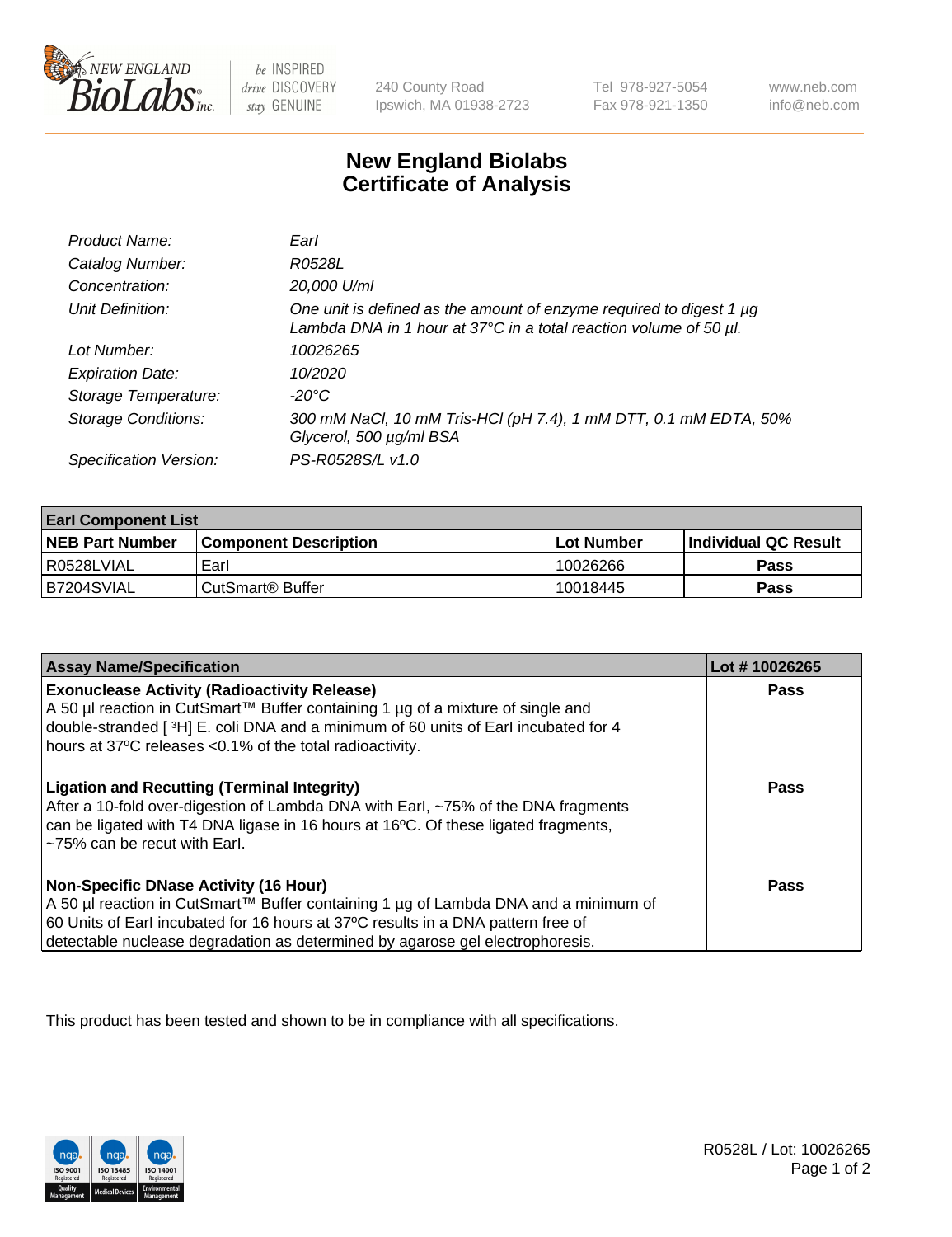

 $be$  INSPIRED drive DISCOVERY stay GENUINE

240 County Road Ipswich, MA 01938-2723 Tel 978-927-5054 Fax 978-921-1350 www.neb.com info@neb.com

## **New England Biolabs Certificate of Analysis**

| Product Name:              | Earl                                                                                                                                                    |
|----------------------------|---------------------------------------------------------------------------------------------------------------------------------------------------------|
| Catalog Number:            | R0528L                                                                                                                                                  |
| Concentration:             | 20,000 U/ml                                                                                                                                             |
| Unit Definition:           | One unit is defined as the amount of enzyme required to digest 1 µg<br>Lambda DNA in 1 hour at $37^{\circ}$ C in a total reaction volume of 50 $\mu$ l. |
| Lot Number:                | 10026265                                                                                                                                                |
| <b>Expiration Date:</b>    | 10/2020                                                                                                                                                 |
| Storage Temperature:       | -20°C                                                                                                                                                   |
| <b>Storage Conditions:</b> | 300 mM NaCl, 10 mM Tris-HCl (pH 7.4), 1 mM DTT, 0.1 mM EDTA, 50%<br>Glycerol, 500 µg/ml BSA                                                             |
| Specification Version:     | PS-R0528S/L v1.0                                                                                                                                        |

| <b>Earl Component List</b> |                              |            |                             |  |  |
|----------------------------|------------------------------|------------|-----------------------------|--|--|
| <b>NEB Part Number</b>     | <b>Component Description</b> | Lot Number | <b>Individual QC Result</b> |  |  |
| I R0528LVIAL               | Earl                         | 10026266   | Pass                        |  |  |
| B7204SVIAL                 | ⊧CutSmart® Buffer            | 10018445   | Pass                        |  |  |

| <b>Assay Name/Specification</b>                                                                                                                                                                                                                                                                     | Lot #10026265 |
|-----------------------------------------------------------------------------------------------------------------------------------------------------------------------------------------------------------------------------------------------------------------------------------------------------|---------------|
| <b>Exonuclease Activity (Radioactivity Release)</b><br>A 50 µl reaction in CutSmart™ Buffer containing 1 µg of a mixture of single and<br>double-stranded [3H] E. coli DNA and a minimum of 60 units of Earl incubated for 4<br>hours at 37°C releases <0.1% of the total radioactivity.            | Pass          |
| <b>Ligation and Recutting (Terminal Integrity)</b><br>After a 10-fold over-digestion of Lambda DNA with Earl, ~75% of the DNA fragments<br>can be ligated with T4 DNA ligase in 16 hours at 16°C. Of these ligated fragments,<br>~75% can be recut with Earl.                                       | Pass          |
| Non-Specific DNase Activity (16 Hour)<br>  A 50 µl reaction in CutSmart™ Buffer containing 1 µg of Lambda DNA and a minimum of<br>60 Units of Earl incubated for 16 hours at 37°C results in a DNA pattern free of<br>detectable nuclease degradation as determined by agarose gel electrophoresis. | Pass          |

This product has been tested and shown to be in compliance with all specifications.